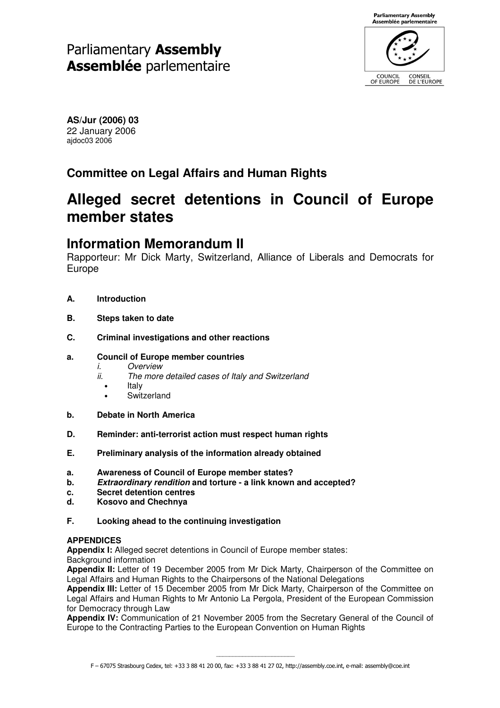# Parliamentary Assembly **Assemblée** parlementaire



**AS/Jur (2006) 03** 22 January 2006 ajdoc03 2006

## **Committee on Legal Affairs and Human Rights**

# **Alleged secret detentions in Council of Europe member states**

## **Information Memorandum II**

Rapporteur: Mr Dick Marty, Switzerland, Alliance of Liberals and Democrats for Europe

- **A. Introduction**
- **B. Steps taken to date**
- **C. Criminal investigations and other reactions**

## **a. Council of Europe member countries**

- *i. Overview*
- *ii. The more detailed cases of Italy and Switzerland*
	- **Italy**
	- **Switzerland**
- **b. Debate in North America**
- **D. Reminder: anti-terrorist action must respect human rights**
- **E. Preliminary analysis of the information already obtained**
- **a. Awareness of Council of Europe member states?**
- **b.** *Extraordinary rendition* **and torture - a link known and accepted?**
- **c. Secret detention centres**
- **d. Kosovo and Chechnya**
- **F. Looking ahead to the continuing investigation**

## **APPENDICES**

**Appendix I:** Alleged secret detentions in Council of Europe member states:

Background information

**Appendix II:** Letter of 19 December 2005 from Mr Dick Marty, Chairperson of the Committee on Legal Affairs and Human Rights to the Chairpersons of the National Delegations

**Appendix III:** Letter of 15 December 2005 from Mr Dick Marty, Chairperson of the Committee on Legal Affairs and Human Rights to Mr Antonio La Pergola, President of the European Commission for Democracy through Law

**Appendix IV:** Communication of 21 November 2005 from the Secretary General of the Council of Europe to the Contracting Parties to the European Convention on Human Rights

\_\_\_\_\_\_\_\_\_\_\_\_\_\_\_\_\_\_\_\_\_\_\_\_ F – 67075 Strasbourg Cedex, tel: +33 3 88 41 20 00, fax: +33 3 88 41 27 02, http://assembly.coe.int, e-mail: assembly@coe.int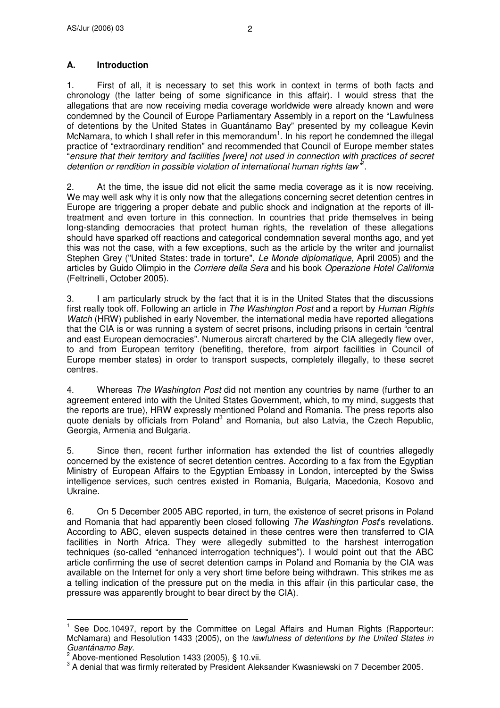1. First of all, it is necessary to set this work in context in terms of both facts and chronology (the latter being of some significance in this affair). I would stress that the allegations that are now receiving media coverage worldwide were already known and were condemned by the Council of Europe Parliamentary Assembly in a report on the "Lawfulness of detentions by the United States in Guantánamo Bay" presented by my colleague Kevin McNamara, to which I shall refer in this memorandum<sup>1</sup>. In his report he condemned the illegal practice of "extraordinary rendition" and recommended that Council of Europe member states "*ensure that their territory and facilities [were] not used in connection with practices of secret detention or rendition in possible violation of international human rights law"* 2 .

2. At the time, the issue did not elicit the same media coverage as it is now receiving. We may well ask why it is only now that the allegations concerning secret detention centres in Europe are triggering a proper debate and public shock and indignation at the reports of illtreatment and even torture in this connection. In countries that pride themselves in being long-standing democracies that protect human rights, the revelation of these allegations should have sparked off reactions and categorical condemnation several months ago, and yet this was not the case, with a few exceptions, such as the article by the writer and journalist Stephen Grey ("United States: trade in torture", *Le Monde diplomatique*, April 2005) and the articles by Guido Olimpio in the *Corriere della Sera* and his book *Operazione Hotel California* (Feltrinelli, October 2005).

3. I am particularly struck by the fact that it is in the United States that the discussions first really took off. Following an article in *The Washington Post* and a report by *Human Rights Watch* (HRW) published in early November, the international media have reported allegations that the CIA is or was running a system of secret prisons, including prisons in certain "central and east European democracies". Numerous aircraft chartered by the CIA allegedly flew over, to and from European territory (benefiting, therefore, from airport facilities in Council of Europe member states) in order to transport suspects, completely illegally, to these secret centres.

4. Whereas *The Washington Post* did not mention any countries by name (further to an agreement entered into with the United States Government, which, to my mind, suggests that the reports are true), HRW expressly mentioned Poland and Romania. The press reports also quote denials by officials from Poland<sup>3</sup> and Romania, but also Latvia, the Czech Republic, Georgia, Armenia and Bulgaria.

5. Since then, recent further information has extended the list of countries allegedly concerned by the existence of secret detention centres. According to a fax from the Egyptian Ministry of European Affairs to the Egyptian Embassy in London, intercepted by the Swiss intelligence services, such centres existed in Romania, Bulgaria, Macedonia, Kosovo and Ukraine.

6. On 5 December 2005 ABC reported, in turn, the existence of secret prisons in Poland and Romania that had apparently been closed following *The Washington Post*'s revelations. According to ABC, eleven suspects detained in these centres were then transferred to CIA facilities in North Africa. They were allegedly submitted to the harshest interrogation techniques (so-called "enhanced interrogation techniques"). I would point out that the ABC article confirming the use of secret detention camps in Poland and Romania by the CIA was available on the Internet for only a very short time before being withdrawn. This strikes me as a telling indication of the pressure put on the media in this affair (in this particular case, the pressure was apparently brought to bear direct by the CIA).

<sup>1</sup> See Doc.10497, report by the Committee on Legal Affairs and Human Rights (Rapporteur: McNamara) and Resolution 1433 (2005), on the *lawfulness of detentions by the United States in Guantánamo Bay*.

 $2^{2}$  Above-mentioned Resolution 1433 (2005), § 10.vii.

 $3$  A denial that was firmly reiterated by President Aleksander Kwasniewski on 7 December 2005.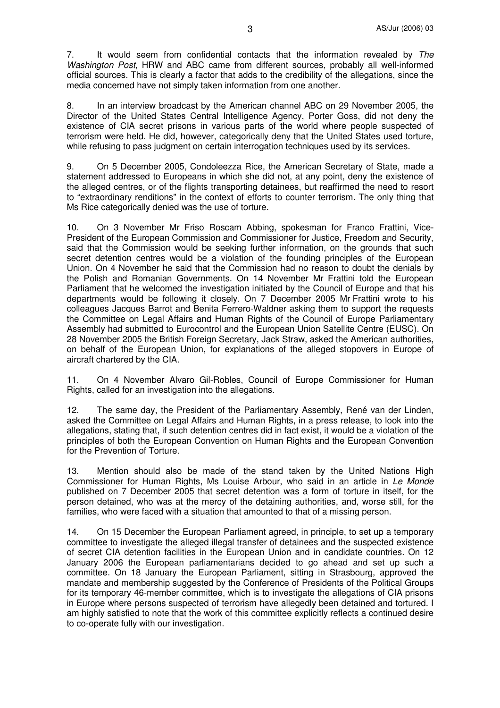7. It would seem from confidential contacts that the information revealed by *The Washington Post*, HRW and ABC came from different sources, probably all well-informed official sources. This is clearly a factor that adds to the credibility of the allegations, since the media concerned have not simply taken information from one another.

8. In an interview broadcast by the American channel ABC on 29 November 2005, the Director of the United States Central Intelligence Agency, Porter Goss, did not deny the existence of CIA secret prisons in various parts of the world where people suspected of terrorism were held. He did, however, categorically deny that the United States used torture, while refusing to pass judgment on certain interrogation techniques used by its services.

9. On 5 December 2005, Condoleezza Rice, the American Secretary of State, made a statement addressed to Europeans in which she did not, at any point, deny the existence of the alleged centres, or of the flights transporting detainees, but reaffirmed the need to resort to "extraordinary renditions" in the context of efforts to counter terrorism. The only thing that Ms Rice categorically denied was the use of torture.

10. On 3 November Mr Friso Roscam Abbing, spokesman for Franco Frattini, Vice-President of the European Commission and Commissioner for Justice, Freedom and Security, said that the Commission would be seeking further information, on the grounds that such secret detention centres would be a violation of the founding principles of the European Union. On 4 November he said that the Commission had no reason to doubt the denials by the Polish and Romanian Governments. On 14 November Mr Frattini told the European Parliament that he welcomed the investigation initiated by the Council of Europe and that his departments would be following it closely. On 7 December 2005 Mr Frattini wrote to his colleagues Jacques Barrot and Benita Ferrero-Waldner asking them to support the requests the Committee on Legal Affairs and Human Rights of the Council of Europe Parliamentary Assembly had submitted to Eurocontrol and the European Union Satellite Centre (EUSC). On 28 November 2005 the British Foreign Secretary, Jack Straw, asked the American authorities, on behalf of the European Union, for explanations of the alleged stopovers in Europe of aircraft chartered by the CIA.

11. On 4 November Alvaro Gil-Robles, Council of Europe Commissioner for Human Rights, called for an investigation into the allegations.

12. The same day, the President of the Parliamentary Assembly, René van der Linden, asked the Committee on Legal Affairs and Human Rights, in a press release, to look into the allegations, stating that, if such detention centres did in fact exist, it would be a violation of the principles of both the European Convention on Human Rights and the European Convention for the Prevention of Torture.

13. Mention should also be made of the stand taken by the United Nations High Commissioner for Human Rights, Ms Louise Arbour, who said in an article in *Le Monde* published on 7 December 2005 that secret detention was a form of torture in itself, for the person detained, who was at the mercy of the detaining authorities, and, worse still, for the families, who were faced with a situation that amounted to that of a missing person.

14. On 15 December the European Parliament agreed, in principle, to set up a temporary committee to investigate the alleged illegal transfer of detainees and the suspected existence of secret CIA detention facilities in the European Union and in candidate countries. On 12 January 2006 the European parliamentarians decided to go ahead and set up such a committee. On 18 January the European Parliament, sitting in Strasbourg, approved the mandate and membership suggested by the Conference of Presidents of the Political Groups for its temporary 46-member committee, which is to investigate the allegations of CIA prisons in Europe where persons suspected of terrorism have allegedly been detained and tortured. I am highly satisfied to note that the work of this committee explicitly reflects a continued desire to co-operate fully with our investigation.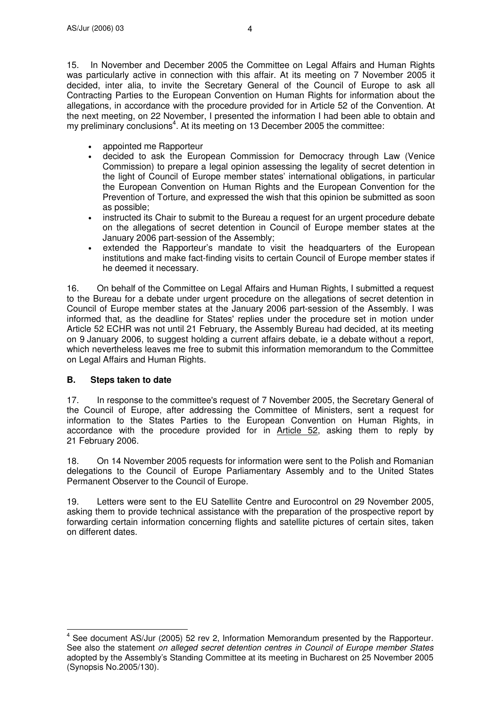15. In November and December 2005 the Committee on Legal Affairs and Human Rights was particularly active in connection with this affair. At its meeting on 7 November 2005 it decided, inter alia, to invite the Secretary General of the Council of Europe to ask all Contracting Parties to the European Convention on Human Rights for information about the allegations, in accordance with the procedure provided for in Article 52 of the Convention. At the next meeting, on 22 November, I presented the information I had been able to obtain and my preliminary conclusions<sup>4</sup>. At its meeting on 13 December 2005 the committee:

- appointed me Rapporteur
- decided to ask the European Commission for Democracy through Law (Venice Commission) to prepare a legal opinion assessing the legality of secret detention in the light of Council of Europe member states' international obligations, in particular the European Convention on Human Rights and the European Convention for the Prevention of Torture, and expressed the wish that this opinion be submitted as soon as possible;
- instructed its Chair to submit to the Bureau a request for an urgent procedure debate on the allegations of secret detention in Council of Europe member states at the January 2006 part-session of the Assembly;
- extended the Rapporteur's mandate to visit the headquarters of the European institutions and make fact-finding visits to certain Council of Europe member states if he deemed it necessary.

16. On behalf of the Committee on Legal Affairs and Human Rights, I submitted a request to the Bureau for a debate under urgent procedure on the allegations of secret detention in Council of Europe member states at the January 2006 part-session of the Assembly. I was informed that, as the deadline for States'replies under the procedure set in motion under Article 52 ECHR was not until 21 February, the Assembly Bureau had decided, at its meeting on 9 January 2006, to suggest holding a current affairs debate, ie a debate without a report, which nevertheless leaves me free to submit this information memorandum to the Committee on Legal Affairs and Human Rights.

## **B. Steps taken to date**

17. In response to the committee's request of 7 November 2005, the Secretary General of the Council of Europe, after addressing the Committee of Ministers, sent a request for information to the States Parties to the European Convention on Human Rights, in accordance with the procedure provided for in Article 52, asking them to reply by 21 February 2006.

18. On 14 November 2005 requests for information were sent to the Polish and Romanian delegations to the Council of Europe Parliamentary Assembly and to the United States Permanent Observer to the Council of Europe.

19. Letters were sent to the EU Satellite Centre and Eurocontrol on 29 November 2005, asking them to provide technical assistance with the preparation of the prospective report by forwarding certain information concerning flights and satellite pictures of certain sites, taken on different dates.

<sup>&</sup>lt;sup>4</sup> See document AS/Jur (2005) 52 rev 2, Information Memorandum presented by the Rapporteur. See also the statement *on alleged secret detention centres in Council of Europe member States* adopted by the Assembly's Standing Committee at its meeting in Bucharest on 25 November 2005 (Synopsis No.2005/130).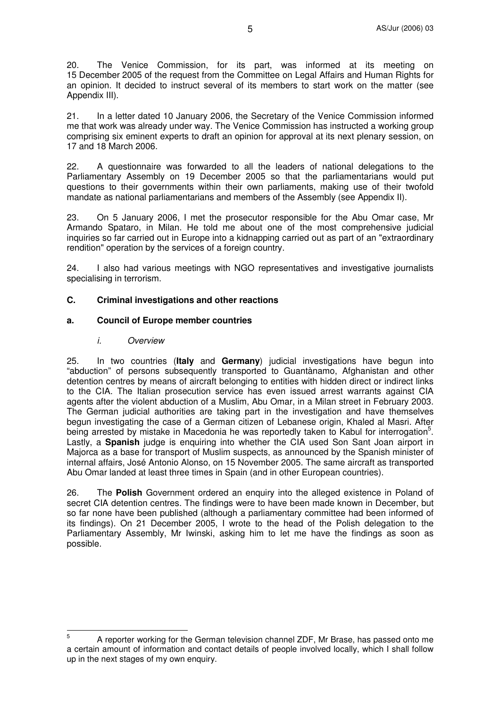20. The Venice Commission, for its part, was informed at its meeting on 15 December 2005 of the request from the Committee on Legal Affairs and Human Rights for an opinion. It decided to instruct several of its members to start work on the matter (see Appendix III).

21. In a letter dated 10 January 2006, the Secretary of the Venice Commission informed me that work was already under way. The Venice Commission has instructed a working group comprising six eminent experts to draft an opinion for approval at its next plenary session, on 17 and 18 March 2006.

22. A questionnaire was forwarded to all the leaders of national delegations to the Parliamentary Assembly on 19 December 2005 so that the parliamentarians would put questions to their governments within their own parliaments, making use of their twofold mandate as national parliamentarians and members of the Assembly (see Appendix II).

23. On 5 January 2006, I met the prosecutor responsible for the Abu Omar case, Mr Armando Spataro, in Milan. He told me about one of the most comprehensive judicial inquiries so far carried out in Europe into a kidnapping carried out as part of an "extraordinary rendition" operation by the services of a foreign country.

24. I also had various meetings with NGO representatives and investigative journalists specialising in terrorism.

## **C. Criminal investigations and other reactions**

### **a. Council of Europe member countries**

#### *i. Overview*

25. In two countries (**Italy** and **Germany**) judicial investigations have begun into "abduction" of persons subsequently transported to Guantànamo, Afghanistan and other detention centres by means of aircraft belonging to entities with hidden direct or indirect links to the CIA. The Italian prosecution service has even issued arrest warrants against CIA agents after the violent abduction of a Muslim, Abu Omar, in a Milan street in February 2003. The German judicial authorities are taking part in the investigation and have themselves begun investigating the case of a German citizen of Lebanese origin, Khaled al Masri. After being arrested by mistake in Macedonia he was reportedly taken to Kabul for interrogation<sup>5</sup>. Lastly, a **Spanish** judge is enquiring into whether the CIA used Son Sant Joan airport in Majorca as a base for transport of Muslim suspects, as announced by the Spanish minister of internal affairs, José Antonio Alonso, on 15 November 2005. The same aircraft as transported Abu Omar landed at least three times in Spain (and in other European countries).

26. The **Polish** Government ordered an enquiry into the alleged existence in Poland of secret CIA detention centres. The findings were to have been made known in December, but so far none have been published (although a parliamentary committee had been informed of its findings). On 21 December 2005, I wrote to the head of the Polish delegation to the Parliamentary Assembly, Mr Iwinski, asking him to let me have the findings as soon as possible.

<sup>5</sup> A reporter working for the German television channel ZDF, Mr Brase, has passed onto me a certain amount of information and contact details of people involved locally, which I shall follow up in the next stages of my own enquiry.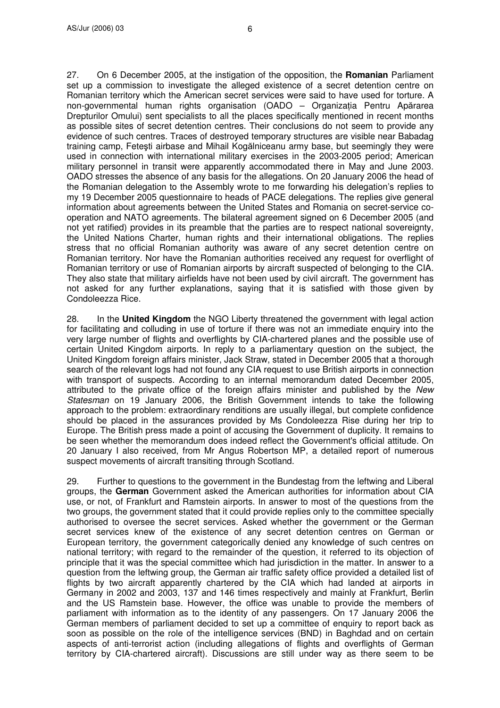27. On 6 December 2005, at the instigation of the opposition, the **Romanian** Parliament set up a commission to investigate the alleged existence of a secret detention centre on Romanian territory which the American secret services were said to have used for torture. A non-governmental human rights organisation (OADO – Organizația Pentru Apărarea Drepturilor Omului) sent specialists to all the places specifically mentioned in recent months as possible sites of secret detention centres. Their conclusions do not seem to provide any evidence of such centres. Traces of destroyed temporary structures are visible near Babadag training camp, Feteşti airbase and Mihail Kogălniceanu army base, but seemingly they were used in connection with international military exercises in the 2003-2005 period; American military personnel in transit were apparently accommodated there in May and June 2003. OADO stresses the absence of any basis for the allegations. On 20 January 2006 the head of the Romanian delegation to the Assembly wrote to me forwarding his delegation's replies to my 19 December 2005 questionnaire to heads of PACE delegations. The replies give general information about agreements between the United States and Romania on secret-service cooperation and NATO agreements. The bilateral agreement signed on 6 December 2005 (and not yet ratified) provides in its preamble that the parties are to respect national sovereignty, the United Nations Charter, human rights and their international obligations. The replies stress that no official Romanian authority was aware of any secret detention centre on Romanian territory. Nor have the Romanian authorities received any request for overflight of Romanian territory or use of Romanian airports by aircraft suspected of belonging to the CIA. They also state that military airfields have not been used by civil aircraft. The government has not asked for any further explanations, saying that it is satisfied with those given by Condoleezza Rice.

28. In the **United Kingdom** the NGO Liberty threatened the government with legal action for facilitating and colluding in use of torture if there was not an immediate enquiry into the very large number of flights and overflights by CIA-chartered planes and the possible use of certain United Kingdom airports. In reply to a parliamentary question on the subject, the United Kingdom foreign affairs minister, Jack Straw, stated in December 2005 that a thorough search of the relevant logs had not found any CIA request to use British airports in connection with transport of suspects. According to an internal memorandum dated December 2005, attributed to the private office of the foreign affairs minister and published by the *New Statesman* on 19 January 2006, the British Government intends to take the following approach to the problem: extraordinary renditions are usually illegal, but complete confidence should be placed in the assurances provided by Ms Condoleezza Rise during her trip to Europe. The British press made a point of accusing the Government of duplicity. It remains to be seen whether the memorandum does indeed reflect the Government's official attitude. On 20 January I also received, from Mr Angus Robertson MP, a detailed report of numerous suspect movements of aircraft transiting through Scotland.

29. Further to questions to the government in the Bundestag from the leftwing and Liberal groups, the **German** Government asked the American authorities for information about CIA use, or not, of Frankfurt and Ramstein airports. In answer to most of the questions from the two groups, the government stated that it could provide replies only to the committee specially authorised to oversee the secret services. Asked whether the government or the German secret services knew of the existence of any secret detention centres on German or European territory, the government categorically denied any knowledge of such centres on national territory; with regard to the remainder of the question, it referred to its objection of principle that it was the special committee which had jurisdiction in the matter. In answer to a question from the leftwing group, the German air traffic safety office provided a detailed list of flights by two aircraft apparently chartered by the CIA which had landed at airports in Germany in 2002 and 2003, 137 and 146 times respectively and mainly at Frankfurt, Berlin and the US Ramstein base. However, the office was unable to provide the members of parliament with information as to the identity of any passengers. On 17 January 2006 the German members of parliament decided to set up a committee of enquiry to report back as soon as possible on the role of the intelligence services (BND) in Baghdad and on certain aspects of anti-terrorist action (including allegations of flights and overflights of German territory by CIA-chartered aircraft). Discussions are still under way as there seem to be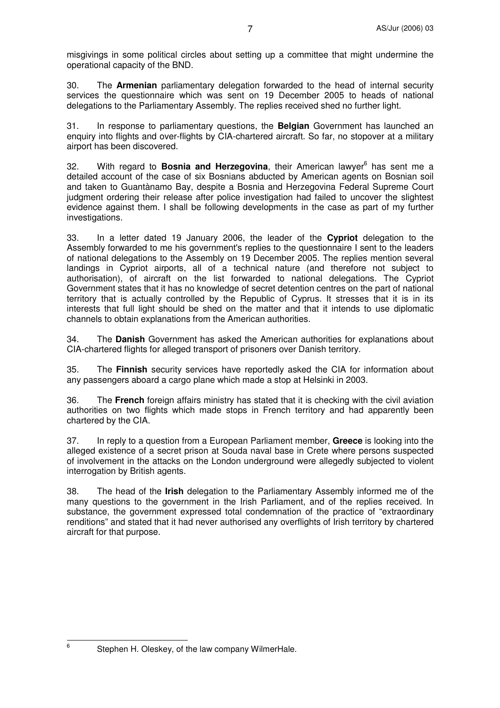misgivings in some political circles about setting up a committee that might undermine the operational capacity of the BND.

30. The **Armenian** parliamentary delegation forwarded to the head of internal security services the questionnaire which was sent on 19 December 2005 to heads of national delegations to the Parliamentary Assembly. The replies received shed no further light.

31. In response to parliamentary questions, the **Belgian** Government has launched an enquiry into flights and over-flights by CIA-chartered aircraft. So far, no stopover at a military airport has been discovered.

32. With regard to **Bosnia and Herzegovina**, their American lawyer 6 has sent me a detailed account of the case of six Bosnians abducted by American agents on Bosnian soil and taken to Guantànamo Bay, despite a Bosnia and Herzegovina Federal Supreme Court judgment ordering their release after police investigation had failed to uncover the slightest evidence against them. I shall be following developments in the case as part of my further investigations.

33. In a letter dated 19 January 2006, the leader of the **Cypriot** delegation to the Assembly forwarded to me his government's replies to the questionnaire I sent to the leaders of national delegations to the Assembly on 19 December 2005. The replies mention several landings in Cypriot airports, all of a technical nature (and therefore not subject to authorisation), of aircraft on the list forwarded to national delegations. The Cypriot Government states that it has no knowledge of secret detention centres on the part of national territory that is actually controlled by the Republic of Cyprus. It stresses that it is in its interests that full light should be shed on the matter and that it intends to use diplomatic channels to obtain explanations from the American authorities.

34. The **Danish** Government has asked the American authorities for explanations about CIA-chartered flights for alleged transport of prisoners over Danish territory.

35. The **Finnish** security services have reportedly asked the CIA for information about any passengers aboard a cargo plane which made a stop at Helsinki in 2003.

36. The **French** foreign affairs ministry has stated that it is checking with the civil aviation authorities on two flights which made stops in French territory and had apparently been chartered by the CIA.

37. In reply to a question from a European Parliament member, **Greece** is looking into the alleged existence of a secret prison at Souda naval base in Crete where persons suspected of involvement in the attacks on the London underground were allegedly subjected to violent interrogation by British agents.

38. The head of the **Irish** delegation to the Parliamentary Assembly informed me of the many questions to the government in the Irish Parliament, and of the replies received. In substance, the government expressed total condemnation of the practice of "extraordinary renditions" and stated that it had never authorised any overflights of Irish territory by chartered aircraft for that purpose.

6

Stephen H. Oleskey, of the law company WilmerHale.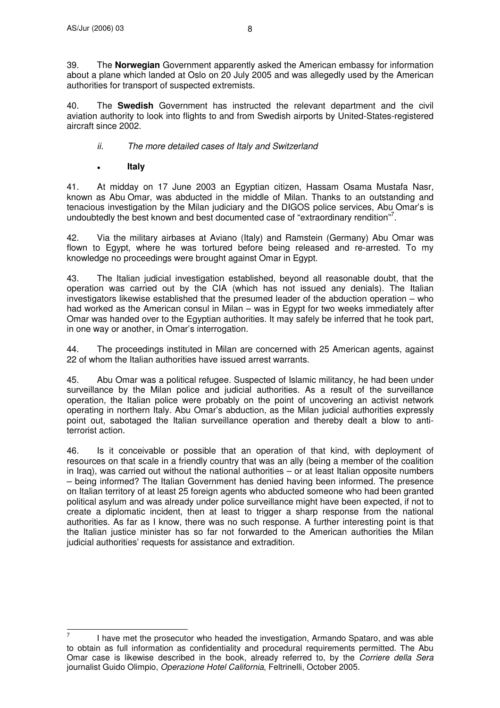39. The **Norwegian** Government apparently asked the American embassy for information about a plane which landed at Oslo on 20 July 2005 and was allegedly used by the American authorities for transport of suspected extremists.

40. The **Swedish** Government has instructed the relevant department and the civil aviation authority to look into flights to and from Swedish airports by United-States-registered aircraft since 2002.

## *ii. The more detailed cases of Italy and Switzerland*

**Italy**

41. At midday on 17 June 2003 an Egyptian citizen, Hassam Osama Mustafa Nasr, known as Abu Omar, was abducted in the middle of Milan. Thanks to an outstanding and tenacious investigation by the Milan judiciary and the DIGOS police services, Abu Omar's is undoubtedly the best known and best documented case of "extraordinary rendition"<sup>7</sup>.

42. Via the military airbases at Aviano (Italy) and Ramstein (Germany) Abu Omar was flown to Egypt, where he was tortured before being released and re-arrested. To my knowledge no proceedings were brought against Omar in Egypt.

43. The Italian judicial investigation established, beyond all reasonable doubt, that the operation was carried out by the CIA (which has not issued any denials). The Italian investigators likewise established that the presumed leader of the abduction operation – who had worked as the American consul in Milan – was in Egypt for two weeks immediately after Omar was handed over to the Egyptian authorities. It may safely be inferred that he took part, in one way or another, in Omar's interrogation.

44. The proceedings instituted in Milan are concerned with 25 American agents, against 22 of whom the Italian authorities have issued arrest warrants.

45. Abu Omar was a political refugee. Suspected of Islamic militancy, he had been under surveillance by the Milan police and judicial authorities. As a result of the surveillance operation, the Italian police were probably on the point of uncovering an activist network operating in northern Italy. Abu Omar's abduction, as the Milan judicial authorities expressly point out, sabotaged the Italian surveillance operation and thereby dealt a blow to antiterrorist action.

46. Is it conceivable or possible that an operation of that kind, with deployment of resources on that scale in a friendly country that was an ally (being a member of the coalition in Iraq), was carried out without the national authorities – or at least Italian opposite numbers – being informed? The Italian Government has denied having been informed. The presence on Italian territory of at least 25 foreign agents who abducted someone who had been granted political asylum and was already under police surveillance might have been expected, if not to create a diplomatic incident, then at least to trigger a sharp response from the national authorities. As far as I know, there was no such response. A further interesting point is that the Italian justice minister has so far not forwarded to the American authorities the Milan judicial authorities' requests for assistance and extradition.

<sup>7</sup> I have met the prosecutor who headed the investigation, Armando Spataro, and was able to obtain as full information as confidentiality and procedural requirements permitted. The Abu Omar case is likewise described in the book, already referred to, by the *Corriere della Sera* journalist Guido Olimpio, *Operazione Hotel California*, Feltrinelli, October 2005.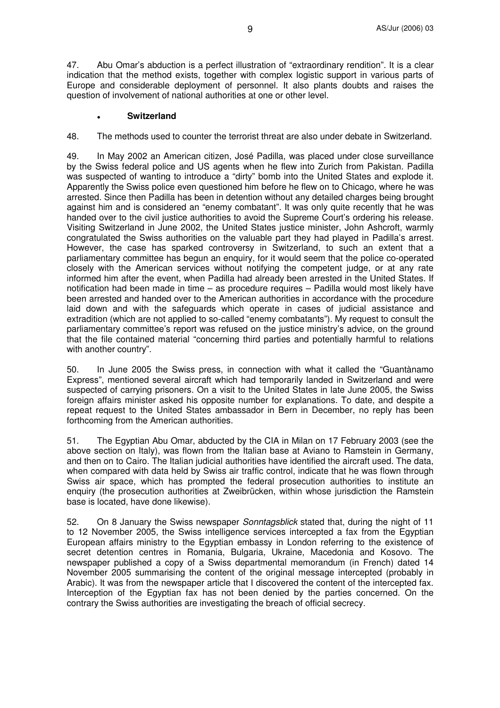47. Abu Omar's abduction is a perfect illustration of "extraordinary rendition". It is a clear indication that the method exists, together with complex logistic support in various parts of Europe and considerable deployment of personnel. It also plants doubts and raises the question of involvement of national authorities at one or other level.

#### **Switzerland**

48. The methods used to counter the terrorist threat are also under debate in Switzerland.

49. In May 2002 an American citizen, José Padilla, was placed under close surveillance by the Swiss federal police and US agents when he flew into Zurich from Pakistan. Padilla was suspected of wanting to introduce a "dirty" bomb into the United States and explode it. Apparently the Swiss police even questioned him before he flew on to Chicago, where he was arrested. Since then Padilla has been in detention without any detailed charges being brought against him and is considered an "enemy combatant". It was only quite recently that he was handed over to the civil justice authorities to avoid the Supreme Court's ordering his release. Visiting Switzerland in June 2002, the United States justice minister, John Ashcroft, warmly congratulated the Swiss authorities on the valuable part they had played in Padilla's arrest. However, the case has sparked controversy in Switzerland, to such an extent that a parliamentary committee has begun an enquiry, for it would seem that the police co-operated closely with the American services without notifying the competent judge, or at any rate informed him after the event, when Padilla had already been arrested in the United States. If notification had been made in time – as procedure requires – Padilla would most likely have been arrested and handed over to the American authorities in accordance with the procedure laid down and with the safeguards which operate in cases of judicial assistance and extradition (which are not applied to so-called "enemy combatants"). My request to consult the parliamentary committee's report was refused on the justice ministry's advice, on the ground that the file contained material "concerning third parties and potentially harmful to relations with another country".

50. In June 2005 the Swiss press, in connection with what it called the "Guantànamo Express", mentioned several aircraft which had temporarily landed in Switzerland and were suspected of carrying prisoners. On a visit to the United States in late June 2005, the Swiss foreign affairs minister asked his opposite number for explanations. To date, and despite a repeat request to the United States ambassador in Bern in December, no reply has been forthcoming from the American authorities.

51. The Egyptian Abu Omar, abducted by the CIA in Milan on 17 February 2003 (see the above section on Italy), was flown from the Italian base at Aviano to Ramstein in Germany, and then on to Cairo. The Italian judicial authorities have identified the aircraft used. The data, when compared with data held by Swiss air traffic control, indicate that he was flown through Swiss air space, which has prompted the federal prosecution authorities to institute an enquiry (the prosecution authorities at Zweibrücken, within whose jurisdiction the Ramstein base is located, have done likewise).

52. On 8 January the Swiss newspaper *Sonntagsblick* stated that, during the night of 11 to 12 November 2005, the Swiss intelligence services intercepted a fax from the Egyptian European affairs ministry to the Egyptian embassy in London referring to the existence of secret detention centres in Romania, Bulgaria, Ukraine, Macedonia and Kosovo. The newspaper published a copy of a Swiss departmental memorandum (in French) dated 14 November 2005 summarising the content of the original message intercepted (probably in Arabic). It was from the newspaper article that I discovered the content of the intercepted fax. Interception of the Egyptian fax has not been denied by the parties concerned. On the contrary the Swiss authorities are investigating the breach of official secrecy.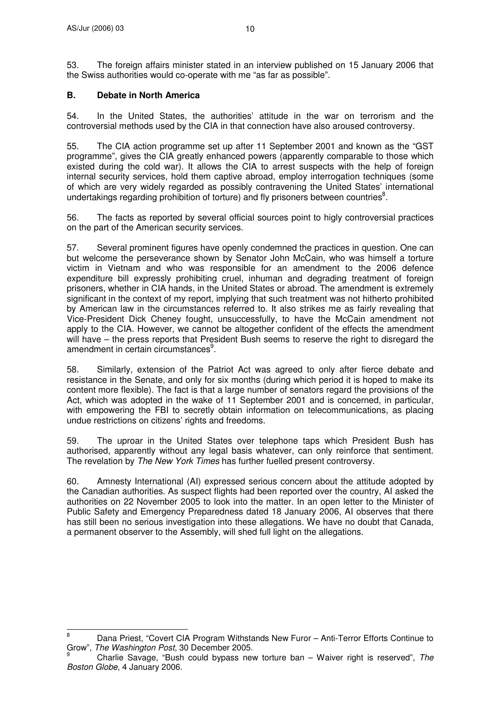53. The foreign affairs minister stated in an interview published on 15 January 2006 that the Swiss authorities would co-operate with me "as far as possible".

## **B. Debate in North America**

54. In the United States, the authorities' attitude in the war on terrorism and the controversial methods used by the CIA in that connection have also aroused controversy.

55. The CIA action programme set up after 11 September 2001 and known as the "GST programme", gives the CIA greatly enhanced powers (apparently comparable to those which existed during the cold war). It allows the CIA to arrest suspects with the help of foreign internal security services, hold them captive abroad, employ interrogation techniques (some of which are very widely regarded as possibly contravening the United States' international undertakings regarding prohibition of torture) and fly prisoners between countries<sup>8</sup>.

56. The facts as reported by several official sources point to higly controversial practices on the part of the American security services.

57. Several prominent figures have openly condemned the practices in question. One can but welcome the perseverance shown by Senator John McCain, who was himself a torture victim in Vietnam and who was responsible for an amendment to the 2006 defence expenditure bill expressly prohibiting cruel, inhuman and degrading treatment of foreign prisoners, whether in CIA hands, in the United States or abroad. The amendment is extremely significant in the context of my report, implying that such treatment was not hitherto prohibited by American law in the circumstances referred to. It also strikes me as fairly revealing that Vice-President Dick Cheney fought, unsuccessfully, to have the McCain amendment not apply to the CIA. However, we cannot be altogether confident of the effects the amendment will have – the press reports that President Bush seems to reserve the right to disregard the amendment in certain circumstances<sup>9</sup>.

58. Similarly, extension of the Patriot Act was agreed to only after fierce debate and resistance in the Senate, and only for six months (during which period it is hoped to make its content more flexible). The fact is that a large number of senators regard the provisions of the Act, which was adopted in the wake of 11 September 2001 and is concerned, in particular, with empowering the FBI to secretly obtain information on telecommunications, as placing undue restrictions on citizens' rights and freedoms.

59. The uproar in the United States over telephone taps which President Bush has authorised, apparently without any legal basis whatever, can only reinforce that sentiment. The revelation by *The New York Times* has further fuelled present controversy.

60. Amnesty International (AI) expressed serious concern about the attitude adopted by the Canadian authorities. As suspect flights had been reported over the country, AI asked the authorities on 22 November 2005 to look into the matter. In an open letter to the Minister of Public Safety and Emergency Preparedness dated 18 January 2006, AI observes that there has still been no serious investigation into these allegations. We have no doubt that Canada, a permanent observer to the Assembly, will shed full light on the allegations.

<sup>&</sup>lt;sup>8</sup> Dana Priest, "Covert CIA Program Withstands New Furor – Anti-Terror Efforts Continue to Grow", *The Washington Post*, 30 December 2005.

<sup>9</sup> Charlie Savage, "Bush could bypass new torture ban – Waiver right is reserved", *The Boston Globe*, 4 January 2006.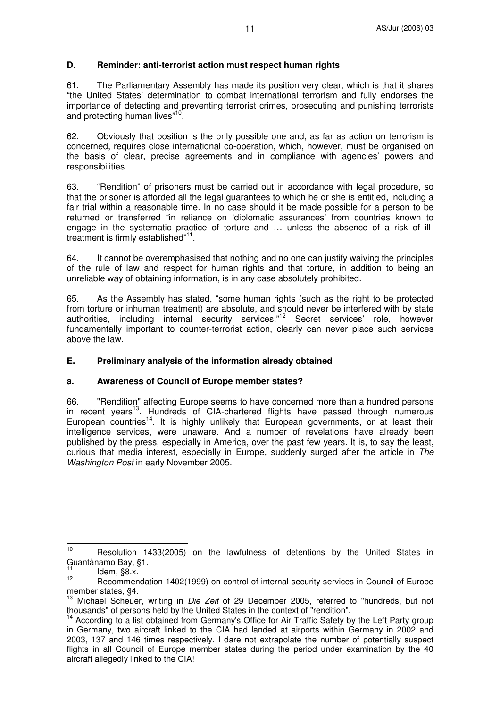## **D. Reminder: anti-terrorist action must respect human rights**

61. The Parliamentary Assembly has made its position very clear, which is that it shares "the United States' determination to combat international terrorism and fully endorses the importance of detecting and preventing terrorist crimes, prosecuting and punishing terrorists and protecting human lives"<sup>10</sup>.

62. Obviously that position is the only possible one and, as far as action on terrorism is concerned, requires close international co-operation, which, however, must be organised on the basis of clear, precise agreements and in compliance with agencies' powers and responsibilities.

63. "Rendition" of prisoners must be carried out in accordance with legal procedure, so that the prisoner is afforded all the legal guarantees to which he or she is entitled, including a fair trial within a reasonable time. In no case should it be made possible for a person to be returned or transferred "in reliance on 'diplomatic assurances' from countries known to engage in the systematic practice of torture and … unless the absence of a risk of illtreatment is firmly established"<sup>11</sup>.

64. It cannot be overemphasised that nothing and no one can justify waiving the principles of the rule of law and respect for human rights and that torture, in addition to being an unreliable way of obtaining information, is in any case absolutely prohibited.

65. As the Assembly has stated, "some human rights (such as the right to be protected from torture or inhuman treatment) are absolute, and should never be interfered with by state authorities, including internal security services."<sup>12</sup> Secret services' role, however fundamentally important to counter-terrorist action, clearly can never place such services above the law.

## **E. Preliminary analysis of the information already obtained**

#### **a. Awareness of Council of Europe member states?**

66. "Rendition" affecting Europe seems to have concerned more than a hundred persons in recent years<sup>13</sup>. Hundreds of CIA-chartered flights have passed through numerous European countries<sup>14</sup>. It is highly unlikely that European governments, or at least their intelligence services, were unaware. And a number of revelations have already been published by the press, especially in America, over the past few years. It is, to say the least, curious that media interest, especially in Europe, suddenly surged after the article in *The Washington Post* in early November 2005.

<sup>&</sup>lt;sup>10</sup> Resolution 1433(2005) on the lawfulness of detentions by the United States in Guantànamo Bay, §1.

<sup>11</sup> Idem, §8.x.

<sup>12</sup> Recommendation 1402(1999) on control of internal security services in Council of Europe member states, §4.

<sup>13</sup> Michael Scheuer, writing in *Die Zeit* of 29 December 2005, referred to "hundreds, but not thousands" of persons held by the United States in the context of "rendition".

<sup>&</sup>lt;sup>14</sup> According to a list obtained from Germany's Office for Air Traffic Safety by the Left Party group in Germany, two aircraft linked to the CIA had landed at airports within Germany in 2002 and 2003, 137 and 146 times respectively. I dare not extrapolate the number of potentially suspect flights in all Council of Europe member states during the period under examination by the 40 aircraft allegedly linked to the CIA!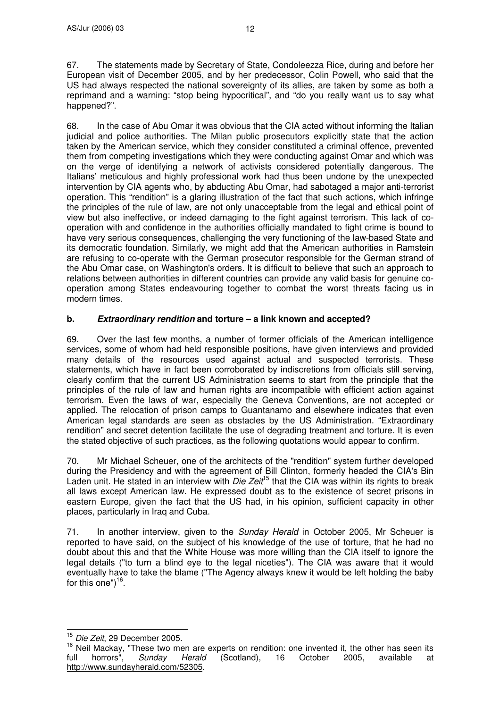68. In the case of Abu Omar it was obvious that the CIA acted without informing the Italian judicial and police authorities. The Milan public prosecutors explicitly state that the action taken by the American service, which they consider constituted a criminal offence, prevented them from competing investigations which they were conducting against Omar and which was on the verge of identifying a network of activists considered potentially dangerous. The Italians' meticulous and highly professional work had thus been undone by the unexpected intervention by CIA agents who, by abducting Abu Omar, had sabotaged a major anti-terrorist operation. This "rendition" is a glaring illustration of the fact that such actions, which infringe the principles of the rule of law, are not only unacceptable from the legal and ethical point of view but also ineffective, or indeed damaging to the fight against terrorism. This lack of cooperation with and confidence in the authorities officially mandated to fight crime is bound to have very serious consequences, challenging the very functioning of the law-based State and its democratic foundation. Similarly, we might add that the American authorities in Ramstein are refusing to co-operate with the German prosecutor responsible for the German strand of the Abu Omar case, on Washington's orders. It is difficult to believe that such an approach to relations between authorities in different countries can provide any valid basis for genuine cooperation among States endeavouring together to combat the worst threats facing us in modern times.

## **b.** *Extraordinary rendition* **and torture – a link known and accepted?**

69. Over the last few months, a number of former officials of the American intelligence services, some of whom had held responsible positions, have given interviews and provided many details of the resources used against actual and suspected terrorists. These statements, which have in fact been corroborated by indiscretions from officials still serving, clearly confirm that the current US Administration seems to start from the principle that the principles of the rule of law and human rights are incompatible with efficient action against terrorism. Even the laws of war, especially the Geneva Conventions, are not accepted or applied. The relocation of prison camps to Guantanamo and elsewhere indicates that even American legal standards are seen as obstacles by the US Administration. "Extraordinary rendition" and secret detention facilitate the use of degrading treatment and torture. It is even the stated objective of such practices, as the following quotations would appear to confirm.

70. Mr Michael Scheuer, one of the architects of the "rendition" system further developed during the Presidency and with the agreement of Bill Clinton, formerly headed the CIA's Bin Laden unit. He stated in an interview with *Die Zeit*<sup>15</sup> that the CIA was within its rights to break all laws except American law. He expressed doubt as to the existence of secret prisons in eastern Europe, given the fact that the US had, in his opinion, sufficient capacity in other places, particularly in Iraq and Cuba.

71. In another interview, given to the *Sunday Herald* in October 2005, Mr Scheuer is reported to have said, on the subject of his knowledge of the use of torture, that he had no doubt about this and that the White House was more willing than the CIA itself to ignore the legal details ("to turn a blind eye to the legal niceties"). The CIA was aware that it would eventually have to take the blame ("The Agency always knew it would be left holding the baby for this one")<sup>16</sup>.

<sup>15</sup> *Die Zeit*, 29 December 2005.

<sup>&</sup>lt;sup>16</sup> Neil Mackay, "These two men are experts on rendition: one invented it, the other has seen its full horrors", *Sunday Herald* (Scotland), 16 October 2005, available at http://www.sundayherald.com/52305.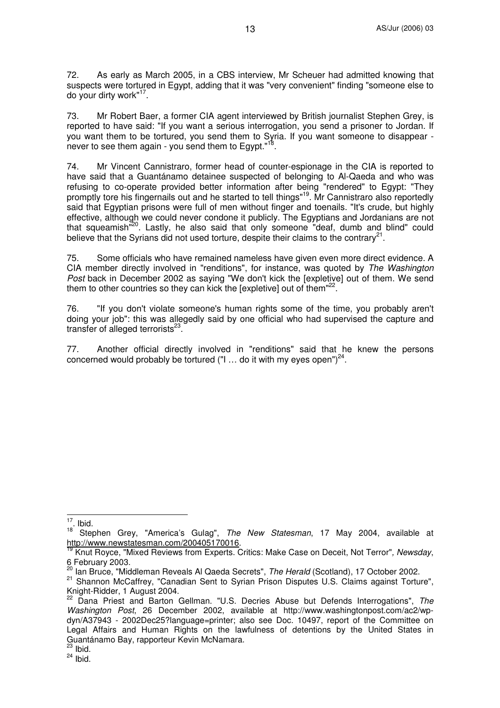72. As early as March 2005, in a CBS interview, Mr Scheuer had admitted knowing that suspects were tortured in Egypt, adding that it was "very convenient" finding "someone else to do your dirty work"<sup>17</sup>.

73. Mr Robert Baer, a former CIA agent interviewed by British journalist Stephen Grey, is reported to have said: "If you want a serious interrogation, you send a prisoner to Jordan. If you want them to be tortured, you send them to Syria. If you want someone to disappear never to see them again - you send them to Egypt."<sup>18</sup> .

74. Mr Vincent Cannistraro, former head of counter-espionage in the CIA is reported to have said that a Guantánamo detainee suspected of belonging to Al-Qaeda and who was refusing to co-operate provided better information after being "rendered" to Egypt: "They promptly tore his fingernails out and he started to tell things"<sup>19</sup>. Mr Cannistraro also reportedly said that Egyptian prisons were full of men without finger and toenails. "It's crude, but highly effective, although we could never condone it publicly. The Egyptians and Jordanians are not that squeamish<sup>"20</sup>. Lastly, he also said that only someone "deaf, dumb and blind" could believe that the Syrians did not used torture, despite their claims to the contrary<sup>21</sup>.

75. Some officials who have remained nameless have given even more direct evidence. A CIA member directly involved in "renditions", for instance, was quoted by *The Washington Post* back in December 2002 as saying "We don't kick the [expletive] out of them. We send them to other countries so they can kick the [expletive] out of them"<sup>22</sup>.

76. "If you don't violate someone's human rights some of the time, you probably aren't doing your job": this was allegedly said by one official who had supervised the capture and transfer of alleged terrorists<sup>23</sup>.

77. Another official directly involved in "renditions" said that he knew the persons concerned would probably be tortured ("I ... do it with my eyes open") $^{24}$ .

 $\frac{17}{12}$ . Ibid.

<sup>18</sup> Stephen Grey, "America's Gulag", *The New Statesman*, 17 May 2004, available at

http://www.newstatesman.com/200405170016. 19 Knut Royce, "Mixed Reviews from Experts. Critics: Make Case on Deceit, Not Terror"*, Newsday*, 6 February 2003.

<sup>20</sup> Ian Bruce, "Middleman Reveals Al Qaeda Secrets", *The Herald* (Scotland), 17 October 2002.

<sup>&</sup>lt;sup>21</sup> Shannon McCaffrey, "Canadian Sent to Syrian Prison Disputes U.S. Claims against Torture", Knight-Ridder, 1 August 2004.

<sup>22</sup> Dana Priest and Barton Gellman. "U.S. Decries Abuse but Defends Interrogations", *The Washington Post*, 26 December 2002, available at http://www.washingtonpost.com/ac2/wpdyn/A37943 - 2002Dec25?language=printer; also see Doc. 10497, report of the Committee on Legal Affairs and Human Rights on the lawfulness of detentions by the United States in Guantánamo Bay, rapporteur Kevin McNamara.

 $\frac{23}{1}$  lbid.

 $24$  lbid.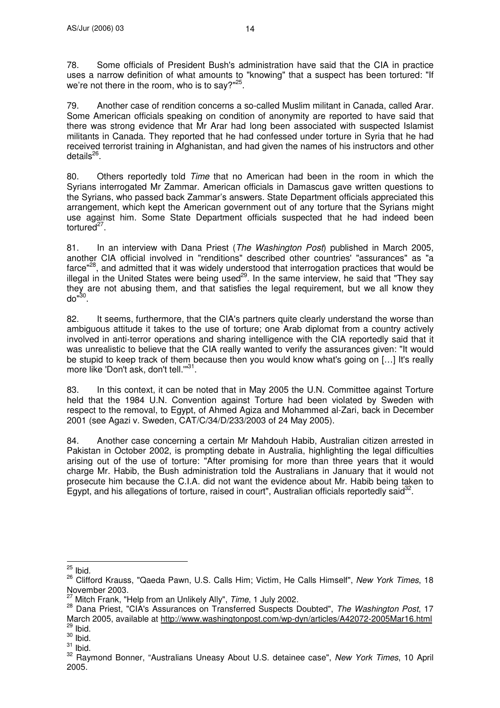78. Some officials of President Bush's administration have said that the CIA in practice uses a narrow definition of what amounts to "knowing" that a suspect has been tortured: "If we're not there in the room, who is to say?" $^{25}$ .

79. Another case of rendition concerns a so-called Muslim militant in Canada, called Arar. Some American officials speaking on condition of anonymity are reported to have said that there was strong evidence that Mr Arar had long been associated with suspected Islamist militants in Canada. They reported that he had confessed under torture in Syria that he had received terrorist training in Afghanistan, and had given the names of his instructors and other details<sup>26</sup>.

80. Others reportedly told *Time* that no American had been in the room in which the Syrians interrogated Mr Zammar. American officials in Damascus gave written questions to the Syrians, who passed back Zammar's answers. State Department officials appreciated this arrangement, which kept the American government out of any torture that the Syrians might use against him. Some State Department officials suspected that he had indeed been tortured<sup>27</sup>.

81. In an interview with Dana Priest (*The Washington Post*) published in March 2005, another CIA official involved in "renditions" described other countries'"assurances" as "a farce"<sup>28</sup>, and admitted that it was widely understood that interrogation practices that would be illegal in the United States were being used<sup>29</sup>. In the same interview, he said that "They say they are not abusing them, and that satisfies the legal requirement, but we all know they do" 30 .

82. It seems, furthermore, that the CIA's partners quite clearly understand the worse than ambiguous attitude it takes to the use of torture; one Arab diplomat from a country actively involved in anti-terror operations and sharing intelligence with the CIA reportedly said that it was unrealistic to believe that the CIA really wanted to verify the assurances given: "It would be stupid to keep track of them because then you would know what's going on […] It's really more like 'Don't ask, don't tell."<sup>31</sup>.

83. In this context, it can be noted that in May 2005 the U.N. Committee against Torture held that the 1984 U.N. Convention against Torture had been violated by Sweden with respect to the removal, to Egypt, of Ahmed Agiza and Mohammed al-Zari, back in December 2001 (see Agazi v. Sweden, CAT/C/34/D/233/2003 of 24 May 2005).

84. Another case concerning a certain Mr Mahdouh Habib, Australian citizen arrested in Pakistan in October 2002, is prompting debate in Australia, highlighting the legal difficulties arising out of the use of torture: "After promising for more than three years that it would charge Mr. Habib, the Bush administration told the Australians in January that it would not prosecute him because the C.I.A. did not want the evidence about Mr. Habib being taken to Egypt, and his allegations of torture, raised in court", Australian officials reportedly said<sup>32</sup>.

 $\frac{25}{10}$  lbid.

<sup>26</sup> Clifford Krauss, "Qaeda Pawn, U.S. Calls Him; Victim, He Calls Himself", *New York Times*, 18 November 2003.

<sup>27</sup> Mitch Frank, "Help from an Unlikely Ally", *Time*, 1 July 2002.

<sup>28</sup> Dana Priest, "CIA's Assurances on Transferred Suspects Doubted", *The Washington Post*, 17 March 2005, available at http://www.washingtonpost.com/wp-dyn/articles/A42072-2005Mar16.html  $29$  lbid.

 $\frac{30}{1}$  lbid.

 $\frac{31}{1}$  lbid.

<sup>32</sup> Raymond Bonner, "Australians Uneasy About U.S. detainee case", *New York Times*, 10 April 2005.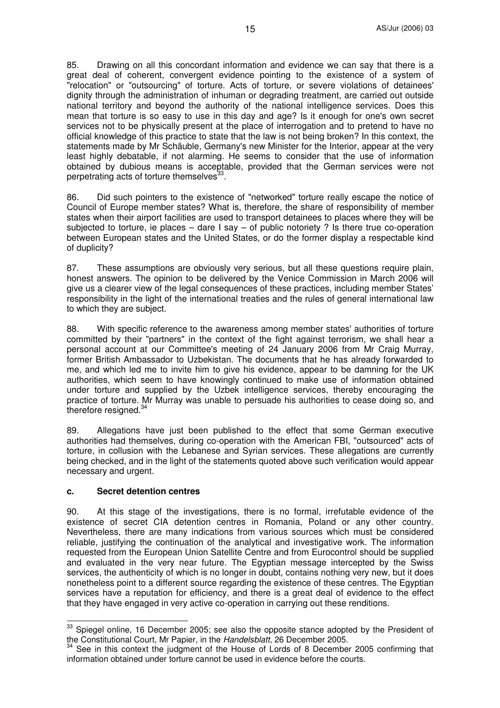85. Drawing on all this concordant information and evidence we can say that there is a great deal of coherent, convergent evidence pointing to the existence of a system of "relocation" or "outsourcing" of torture. Acts of torture, or severe violations of detainees' dignity through the administration of inhuman or degrading treatment, are carried out outside national territory and beyond the authority of the national intelligence services. Does this mean that torture is so easy to use in this day and age? Is it enough for one's own secret services not to be physically present at the place of interrogation and to pretend to have no official knowledge of this practice to state that the law is not being broken? In this context, the statements made by Mr Schäuble, Germany's new Minister for the Interior, appear at the very least highly debatable, if not alarming. He seems to consider that the use of information obtained by dubious means is acceptable, provided that the German services were not perpetrating acts of torture themselves<sup>33</sup>.

86. Did such pointers to the existence of "networked" torture really escape the notice of Council of Europe member states? What is, therefore, the share of responsibility of member states when their airport facilities are used to transport detainees to places where they will be subjected to torture, ie places – dare  $I$  say – of public notoriety ? Is there true co-operation between European states and the United States, or do the former display a respectable kind of duplicity?

87. These assumptions are obviously very serious, but all these questions require plain, honest answers. The opinion to be delivered by the Venice Commission in March 2006 will give us a clearer view of the legal consequences of these practices, including member States' responsibility in the light of the international treaties and the rules of general international law to which they are subject.

88. With specific reference to the awareness among member states' authorities of torture committed by their "partners" in the context of the fight against terrorism, we shall hear a personal account at our Committee's meeting of 24 January 2006 from Mr Craig Murray, former British Ambassador to Uzbekistan. The documents that he has already forwarded to me, and which led me to invite him to give his evidence, appear to be damning for the UK authorities, which seem to have knowingly continued to make use of information obtained under torture and supplied by the Uzbek intelligence services, thereby encouraging the practice of torture. Mr Murray was unable to persuade his authorities to cease doing so, and therefore resigned.<sup>34</sup>

89. Allegations have just been published to the effect that some German executive authorities had themselves, during co-operation with the American FBI, "outsourced" acts of torture, in collusion with the Lebanese and Syrian services. These allegations are currently being checked, and in the light of the statements quoted above such verification would appear necessary and urgent.

#### **c. Secret detention centres**

90. At this stage of the investigations, there is no formal, irrefutable evidence of the existence of secret CIA detention centres in Romania, Poland or any other country. Nevertheless, there are many indications from various sources which must be considered reliable, justifying the continuation of the analytical and investigative work. The information requested from the European Union Satellite Centre and from Eurocontrol should be supplied and evaluated in the very near future. The Egyptian message intercepted by the Swiss services, the authenticity of which is no longer in doubt, contains nothing very new, but it does nonetheless point to a different source regarding the existence of these centres. The Egyptian services have a reputation for efficiency, and there is a great deal of evidence to the effect that they have engaged in very active co-operation in carrying out these renditions.

 $33$  Spiegel online, 16 December 2005; see also the opposite stance adopted by the President of the Constitutional Court, Mr Papier, in the *Handelsblatt*, 26 December 2005.

<sup>34</sup> See in this context the judgment of the House of Lords of 8 December 2005 confirming that information obtained under torture cannot be used in evidence before the courts.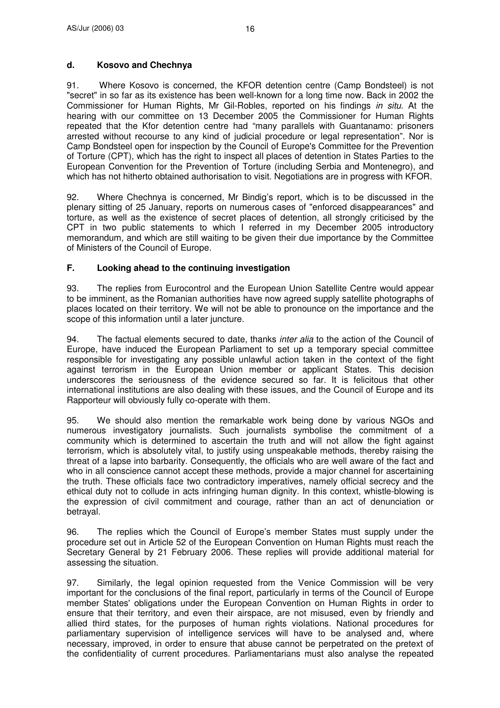## **d. Kosovo and Chechnya**

91. Where Kosovo is concerned, the KFOR detention centre (Camp Bondsteel) is not "secret" in so far as its existence has been well-known for a long time now. Back in 2002 the Commissioner for Human Rights, Mr Gil-Robles, reported on his findings *in situ*. At the hearing with our committee on 13 December 2005 the Commissioner for Human Rights repeated that the Kfor detention centre had "many parallels with Guantanamo: prisoners arrested without recourse to any kind of judicial procedure or legal representation". Nor is Camp Bondsteel open for inspection by the Council of Europe's Committee for the Prevention of Torture (CPT), which has the right to inspect all places of detention in States Parties to the European Convention for the Prevention of Torture (including Serbia and Montenegro), and which has not hitherto obtained authorisation to visit. Negotiations are in progress with KFOR.

92. Where Chechnya is concerned, Mr Bindig's report, which is to be discussed in the plenary sitting of 25 January, reports on numerous cases of "enforced disappearances" and torture, as well as the existence of secret places of detention, all strongly criticised by the CPT in two public statements to which I referred in my December 2005 introductory memorandum, and which are still waiting to be given their due importance by the Committee of Ministers of the Council of Europe.

## **F. Looking ahead to the continuing investigation**

93. The replies from Eurocontrol and the European Union Satellite Centre would appear to be imminent, as the Romanian authorities have now agreed supply satellite photographs of places located on their territory. We will not be able to pronounce on the importance and the scope of this information until a later juncture.

94. The factual elements secured to date, thanks *inter alia* to the action of the Council of Europe, have induced the European Parliament to set up a temporary special committee responsible for investigating any possible unlawful action taken in the context of the fight against terrorism in the European Union member or applicant States. This decision underscores the seriousness of the evidence secured so far. It is felicitous that other international institutions are also dealing with these issues, and the Council of Europe and its Rapporteur will obviously fully co-operate with them.

95. We should also mention the remarkable work being done by various NGOs and numerous investigatory journalists. Such journalists symbolise the commitment of a community which is determined to ascertain the truth and will not allow the fight against terrorism, which is absolutely vital, to justify using unspeakable methods, thereby raising the threat of a lapse into barbarity. Consequently, the officials who are well aware of the fact and who in all conscience cannot accept these methods, provide a major channel for ascertaining the truth. These officials face two contradictory imperatives, namely official secrecy and the ethical duty not to collude in acts infringing human dignity. In this context, whistle-blowing is the expression of civil commitment and courage, rather than an act of denunciation or betrayal.

96. The replies which the Council of Europe's member States must supply under the procedure set out in Article 52 of the European Convention on Human Rights must reach the Secretary General by 21 February 2006. These replies will provide additional material for assessing the situation.

97. Similarly, the legal opinion requested from the Venice Commission will be very important for the conclusions of the final report, particularly in terms of the Council of Europe member States'obligations under the European Convention on Human Rights in order to ensure that their territory, and even their airspace, are not misused, even by friendly and allied third states, for the purposes of human rights violations. National procedures for parliamentary supervision of intelligence services will have to be analysed and, where necessary, improved, in order to ensure that abuse cannot be perpetrated on the pretext of the confidentiality of current procedures. Parliamentarians must also analyse the repeated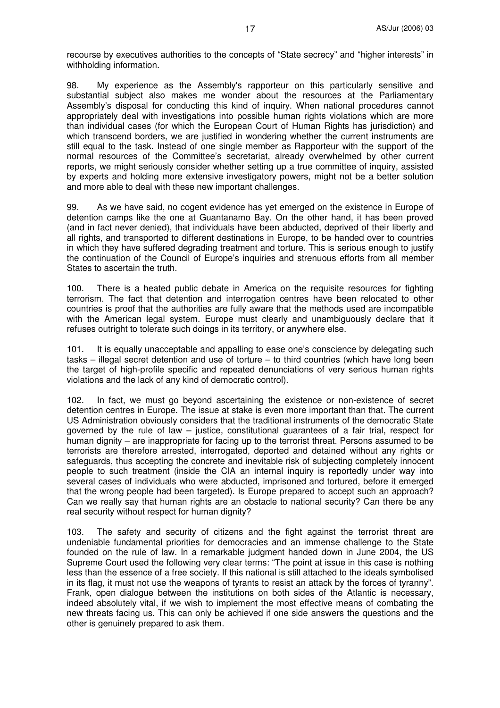recourse by executives authorities to the concepts of "State secrecy" and "higher interests" in withholding information.

98. My experience as the Assembly's rapporteur on this particularly sensitive and substantial subject also makes me wonder about the resources at the Parliamentary Assembly's disposal for conducting this kind of inquiry. When national procedures cannot appropriately deal with investigations into possible human rights violations which are more than individual cases (for which the European Court of Human Rights has jurisdiction) and which transcend borders, we are justified in wondering whether the current instruments are still equal to the task. Instead of one single member as Rapporteur with the support of the normal resources of the Committee's secretariat, already overwhelmed by other current reports, we might seriously consider whether setting up a true committee of inquiry, assisted by experts and holding more extensive investigatory powers, might not be a better solution and more able to deal with these new important challenges.

99. As we have said, no cogent evidence has yet emerged on the existence in Europe of detention camps like the one at Guantanamo Bay. On the other hand, it has been proved (and in fact never denied), that individuals have been abducted, deprived of their liberty and all rights, and transported to different destinations in Europe, to be handed over to countries in which they have suffered degrading treatment and torture. This is serious enough to justify the continuation of the Council of Europe's inquiries and strenuous efforts from all member States to ascertain the truth.

100. There is a heated public debate in America on the requisite resources for fighting terrorism. The fact that detention and interrogation centres have been relocated to other countries is proof that the authorities are fully aware that the methods used are incompatible with the American legal system. Europe must clearly and unambiguously declare that it refuses outright to tolerate such doings in its territory, or anywhere else.

101. It is equally unacceptable and appalling to ease one's conscience by delegating such tasks – illegal secret detention and use of torture – to third countries (which have long been the target of high-profile specific and repeated denunciations of very serious human rights violations and the lack of any kind of democratic control).

102. In fact, we must go beyond ascertaining the existence or non-existence of secret detention centres in Europe. The issue at stake is even more important than that. The current US Administration obviously considers that the traditional instruments of the democratic State governed by the rule of law – justice, constitutional guarantees of a fair trial, respect for human dignity – are inappropriate for facing up to the terrorist threat. Persons assumed to be terrorists are therefore arrested, interrogated, deported and detained without any rights or safeguards, thus accepting the concrete and inevitable risk of subjecting completely innocent people to such treatment (inside the CIA an internal inquiry is reportedly under way into several cases of individuals who were abducted, imprisoned and tortured, before it emerged that the wrong people had been targeted). Is Europe prepared to accept such an approach? Can we really say that human rights are an obstacle to national security? Can there be any real security without respect for human dignity?

103. The safety and security of citizens and the fight against the terrorist threat are undeniable fundamental priorities for democracies and an immense challenge to the State founded on the rule of law. In a remarkable judgment handed down in June 2004, the US Supreme Court used the following very clear terms: "The point at issue in this case is nothing less than the essence of a free society. If this national is still attached to the ideals symbolised in its flag, it must not use the weapons of tyrants to resist an attack by the forces of tyranny". Frank, open dialogue between the institutions on both sides of the Atlantic is necessary, indeed absolutely vital, if we wish to implement the most effective means of combating the new threats facing us. This can only be achieved if one side answers the questions and the other is genuinely prepared to ask them.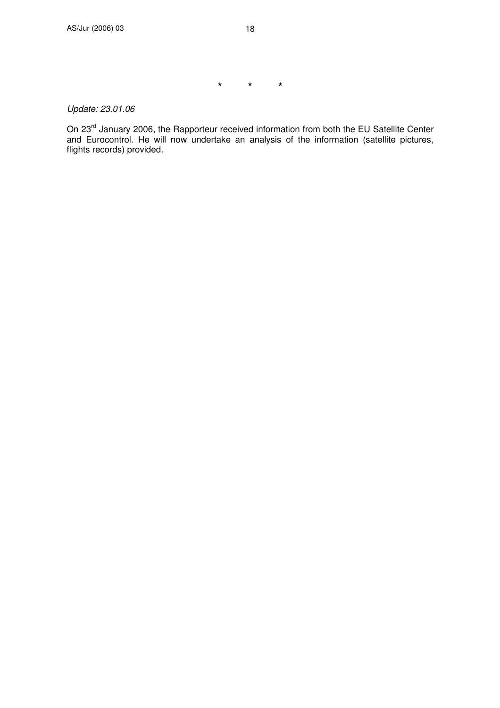\* \* \*

*Update: 23.01.06*

On 23<sup>rd</sup> January 2006, the Rapporteur received information from both the EU Satellite Center and Eurocontrol. He will now undertake an analysis of the information (satellite pictures, flights records) provided.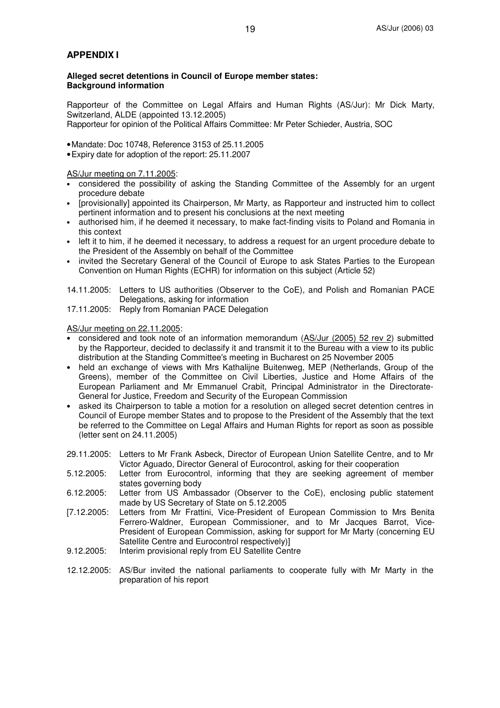#### **APPENDIX I**

**Alleged secret detentions in Council of Europe member states: Background information**

Rapporteur of the Committee on Legal Affairs and Human Rights (AS/Jur): Mr Dick Marty, Switzerland, ALDE (appointed 13.12.2005) Rapporteur for opinion of the Political Affairs Committee: Mr Peter Schieder, Austria, SOC

•Mandate: Doc 10748, Reference 3153 of 25.11.2005

•Expiry date for adoption of the report: 25.11.2007

AS/Jur meeting on 7.11.2005:

- considered the possibility of asking the Standing Committee of the Assembly for an urgent procedure debate
- [provisionally] appointed its Chairperson, Mr Marty, as Rapporteur and instructed him to collect pertinent information and to present his conclusions at the next meeting
- authorised him, if he deemed it necessary, to make fact-finding visits to Poland and Romania in this context
- left it to him, if he deemed it necessary, to address a request for an urgent procedure debate to the President of the Assembly on behalf of the Committee
- invited the Secretary General of the Council of Europe to ask States Parties to the European Convention on Human Rights (ECHR) for information on this subject (Article 52)

14.11.2005: Letters to US authorities (Observer to the CoE), and Polish and Romanian PACE Delegations, asking for information

17.11.2005: Reply from Romanian PACE Delegation

AS/Jur meeting on 22.11.2005:

- considered and took note of an information memorandum (AS/Jur (2005) 52 rev 2) submitted by the Rapporteur, decided to declassify it and transmit it to the Bureau with a view to its public distribution at the Standing Committee's meeting in Bucharest on 25 November 2005
- held an exchange of views with Mrs Kathalijne Buitenweg, MEP (Netherlands, Group of the Greens), member of the Committee on Civil Liberties, Justice and Home Affairs of the European Parliament and Mr Emmanuel Crabit, Principal Administrator in the Directorate-General for Justice, Freedom and Security of the European Commission
- asked its Chairperson to table a motion for a resolution on alleged secret detention centres in Council of Europe member States and to propose to the President of the Assembly that the text be referred to the Committee on Legal Affairs and Human Rights for report as soon as possible (letter sent on 24.11.2005)
- 29.11.2005: Letters to Mr Frank Asbeck, Director of European Union Satellite Centre, and to Mr Victor Aguado, Director General of Eurocontrol, asking for their cooperation
- 5.12.2005: Letter from Eurocontrol, informing that they are seeking agreement of member states governing body
- 6.12.2005: Letter from US Ambassador (Observer to the CoE), enclosing public statement made by US Secretary of State on 5.12.2005
- [7.12.2005: Letters from Mr Frattini, Vice-President of European Commission to Mrs Benita Ferrero-Waldner, European Commissioner, and to Mr Jacques Barrot, Vice-President of European Commission, asking for support for Mr Marty (concerning EU Satellite Centre and Eurocontrol respectively)]
- 9.12.2005: Interim provisional reply from EU Satellite Centre
- 12.12.2005: AS/Bur invited the national parliaments to cooperate fully with Mr Marty in the preparation of his report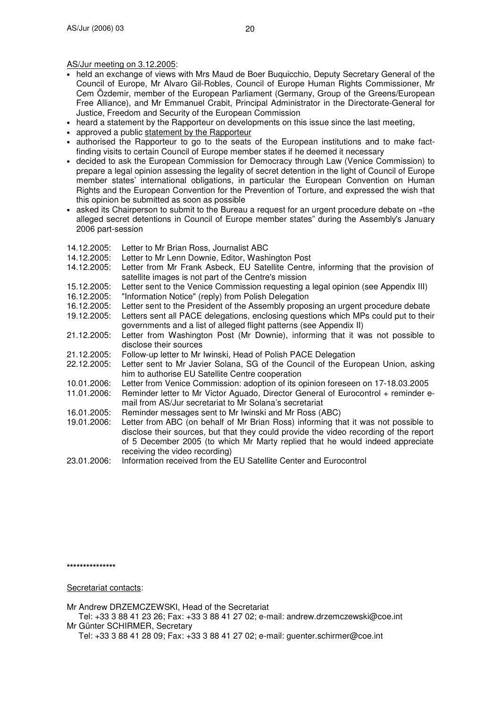AS/Jur meeting on 3.12.2005:

- held an exchange of views with Mrs Maud de Boer Buquicchio, Deputy Secretary General of the Council of Europe, Mr Alvaro Gil-Robles, Council of Europe Human Rights Commissioner, Mr Cem Özdemir, member of the European Parliament (Germany, Group of the Greens/European Free Alliance), and Mr Emmanuel Crabit, Principal Administrator in the Directorate-General for Justice, Freedom and Security of the European Commission
- heard a statement by the Rapporteur on developments on this issue since the last meeting,
- approved a public statement by the Rapporteur
- authorised the Rapporteur to go to the seats of the European institutions and to make factfinding visits to certain Council of Europe member states if he deemed it necessary
- decided to ask the European Commission for Democracy through Law (Venice Commission) to prepare a legal opinion assessing the legality of secret detention in the light of Council of Europe member states' international obligations, in particular the European Convention on Human Rights and the European Convention for the Prevention of Torture, and expressed the wish that this opinion be submitted as soon as possible
- asked its Chairperson to submit to the Bureau a request for an urgent procedure debate on «the alleged secret detentions in Council of Europe member states" during the Assembly's January 2006 part-session
- 14.12.2005: Letter to Mr Brian Ross, Journalist ABC
- 14.12.2005: Letter to Mr Lenn Downie, Editor, Washington Post
- 14.12.2005: Letter from Mr Frank Asbeck, EU Satellite Centre, informing that the provision of satellite images is not part of the Centre's mission
- 15.12.2005: Letter sent to the Venice Commission requesting a legal opinion (see Appendix III)
- 16.12.2005: "Information Notice" (reply) from Polish Delegation
- 16.12.2005: Letter sent to the President of the Assembly proposing an urgent procedure debate
- 19.12.2005: Letters sent all PACE delegations, enclosing questions which MPs could put to their governments and a list of alleged flight patterns (see Appendix II)
- 21.12.2005: Letter from Washington Post (Mr Downie), informing that it was not possible to disclose their sources
- 21.12.2005: Follow-up letter to Mr Iwinski, Head of Polish PACE Delegation<br>22.12.2005: Letter sent to Mr Javier Solana, SG of the Council of the Euro
- Letter sent to Mr Javier Solana, SG of the Council of the European Union, asking him to authorise EU Satellite Centre cooperation
- 10.01.2006: Letter from Venice Commission: adoption of its opinion foreseen on 17-18.03.2005
- Reminder letter to Mr Victor Aguado, Director General of Eurocontrol + reminder email from AS/Jur secretariat to Mr Solana's secretariat
- 16.01.2005: Reminder messages sent to Mr Iwinski and Mr Ross (ABC)<br>19.01.2006: Letter from ABC (on behalf of Mr Brian Ross) informing th
- Letter from ABC (on behalf of Mr Brian Ross) informing that it was not possible to disclose their sources, but that they could provide the video recording of the report of 5 December 2005 (to which Mr Marty replied that he would indeed appreciate receiving the video recording)
- 23.01.2006: Information received from the EU Satellite Center and Eurocontrol

**\*\*\*\*\*\*\*\*\*\*\*\*\*\*\***

Secretariat contacts:

Mr Andrew DRZEMCZEWSKI, Head of the Secretariat

- Tel: +33 3 88 41 23 26; Fax: +33 3 88 41 27 02; e-mail: andrew.drzemczewski@coe.int Mr Günter SCHIRMER, Secretary
	- Tel: +33 3 88 41 28 09; Fax: +33 3 88 41 27 02; e-mail: guenter.schirmer@coe.int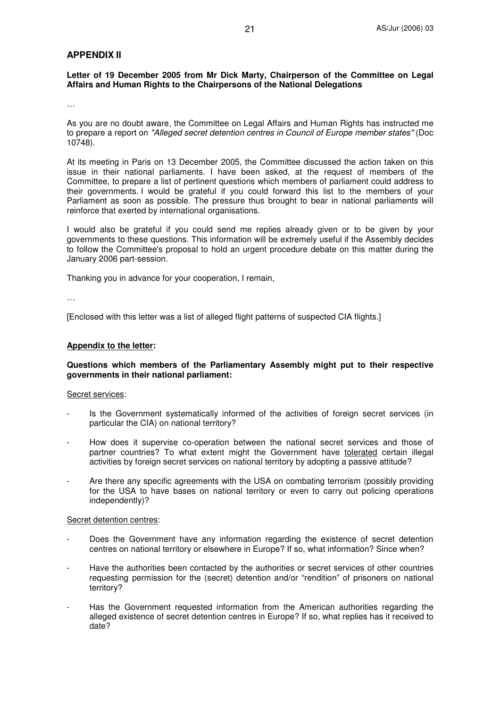#### **APPENDIX II**

**Letter of 19 December 2005 from Mr Dick Marty, Chairperson of the Committee on Legal Affairs and Human Rights to the Chairpersons of the National Delegations**

…

As you are no doubt aware, the Committee on Legal Affairs and Human Rights has instructed me to prepare a report on *"Alleged secret detention centres in Council of Europe member states"* (Doc 10748).

At its meeting in Paris on 13 December 2005, the Committee discussed the action taken on this issue in their national parliaments. I have been asked, at the request of members of the Committee, to prepare a list of pertinent questions which members of parliament could address to their governments. I would be grateful if you could forward this list to the members of your Parliament as soon as possible. The pressure thus brought to bear in national parliaments will reinforce that exerted by international organisations.

I would also be grateful if you could send me replies already given or to be given by your governments to these questions. This information will be extremely useful if the Assembly decides to follow the Committee's proposal to hold an urgent procedure debate on this matter during the January 2006 part-session.

Thanking you in advance for your cooperation, I remain,

…

[Enclosed with this letter was a list of alleged flight patterns of suspected CIA flights.]

#### **Appendix to the letter:**

#### **Questions which members of the Parliamentary Assembly might put to their respective governments in their national parliament:**

#### Secret services:

- Is the Government systematically informed of the activities of foreign secret services (in particular the CIA) on national territory?
- How does it supervise co-operation between the national secret services and those of partner countries? To what extent might the Government have tolerated certain illegal activities by foreign secret services on national territory by adopting a passive attitude?
- Are there any specific agreements with the USA on combating terrorism (possibly providing for the USA to have bases on national territory or even to carry out policing operations independently)?

#### Secret detention centres:

- Does the Government have any information regarding the existence of secret detention centres on national territory or elsewhere in Europe? If so, what information? Since when?
- Have the authorities been contacted by the authorities or secret services of other countries requesting permission for the (secret) detention and/or "rendition" of prisoners on national territory?
- Has the Government requested information from the American authorities regarding the alleged existence of secret detention centres in Europe? If so, what replies has it received to date?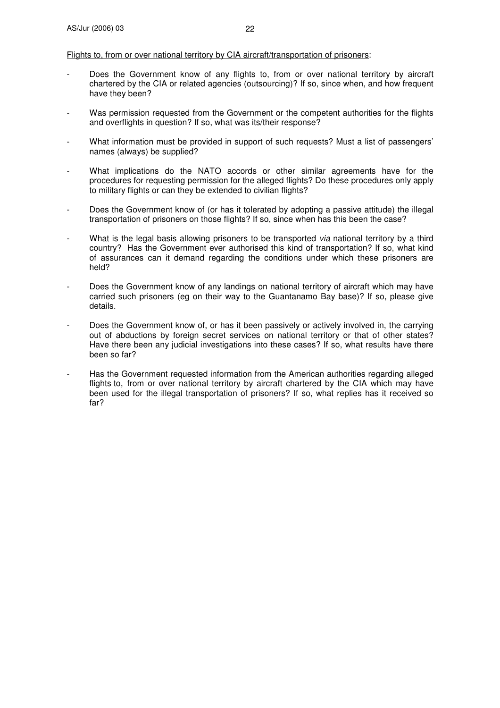#### Flights to, from or over national territory by CIA aircraft/transportation of prisoners:

- Does the Government know of any flights to, from or over national territory by aircraft chartered by the CIA or related agencies (outsourcing)? If so, since when, and how frequent have they been?
- Was permission requested from the Government or the competent authorities for the flights and overflights in question? If so, what was its/their response?
- What information must be provided in support of such requests? Must a list of passengers' names (always) be supplied?
- What implications do the NATO accords or other similar agreements have for the procedures for requesting permission for the alleged flights? Do these procedures only apply to military flights or can they be extended to civilian flights?
- Does the Government know of (or has it tolerated by adopting a passive attitude) the illegal transportation of prisoners on those flights? If so, since when has this been the case?
- What is the legal basis allowing prisoners to be transported *via* national territory by a third country? Has the Government ever authorised this kind of transportation? If so, what kind of assurances can it demand regarding the conditions under which these prisoners are held?
- Does the Government know of any landings on national territory of aircraft which may have carried such prisoners (eg on their way to the Guantanamo Bay base)? If so, please give details.
- Does the Government know of, or has it been passively or actively involved in, the carrying out of abductions by foreign secret services on national territory or that of other states? Have there been any judicial investigations into these cases? If so, what results have there been so far?
- Has the Government requested information from the American authorities regarding alleged flights to, from or over national territory by aircraft chartered by the CIA which may have been used for the illegal transportation of prisoners? If so, what replies has it received so far?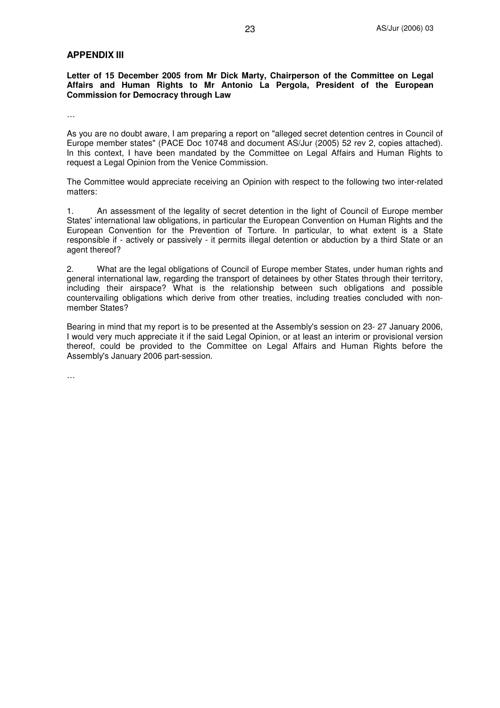#### **APPENDIX III**

**Letter of 15 December 2005 from Mr Dick Marty, Chairperson of the Committee on Legal Affairs and Human Rights to Mr Antonio La Pergola, President of the European Commission for Democracy through Law**

…

As you are no doubt aware, I am preparing a report on "alleged secret detention centres in Council of Europe member states" (PACE Doc 10748 and document AS/Jur (2005) 52 rev 2, copies attached). In this context, I have been mandated by the Committee on Legal Affairs and Human Rights to request a Legal Opinion from the Venice Commission.

The Committee would appreciate receiving an Opinion with respect to the following two inter-related matters:

1. An assessment of the legality of secret detention in the light of Council of Europe member States'international law obligations, in particular the European Convention on Human Rights and the European Convention for the Prevention of Torture. In particular, to what extent is a State responsible if - actively or passively - it permits illegal detention or abduction by a third State or an agent thereof?

2. What are the legal obligations of Council of Europe member States, under human rights and general international law, regarding the transport of detainees by other States through their territory, including their airspace? What is the relationship between such obligations and possible countervailing obligations which derive from other treaties, including treaties concluded with nonmember States?

Bearing in mind that my report is to be presented at the Assembly's session on 23- 27 January 2006, I would very much appreciate it if the said Legal Opinion, or at least an interim or provisional version thereof, could be provided to the Committee on Legal Affairs and Human Rights before the Assembly's January 2006 part-session.

…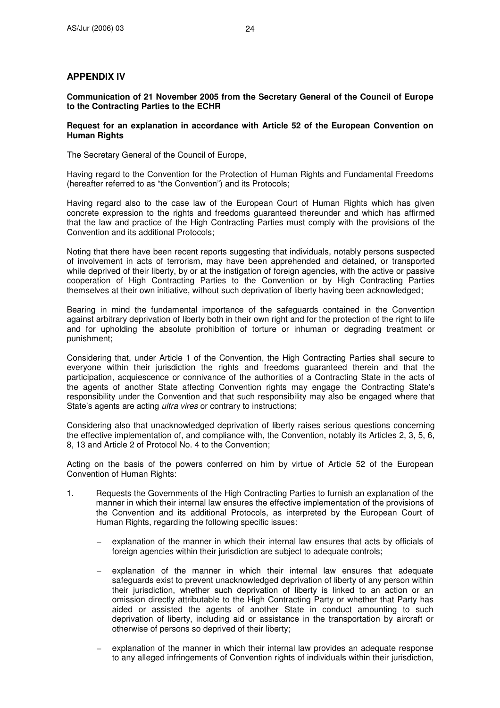## **APPENDIX IV**

**Communication of 21 November 2005 from the Secretary General of the Council of Europe to the Contracting Parties to the ECHR**

#### **Request for an explanation in accordance with Article 52 of the European Convention on Human Rights**

The Secretary General of the Council of Europe,

Having regard to the Convention for the Protection of Human Rights and Fundamental Freedoms (hereafter referred to as "the Convention") and its Protocols;

Having regard also to the case law of the European Court of Human Rights which has given concrete expression to the rights and freedoms guaranteed thereunder and which has affirmed that the law and practice of the High Contracting Parties must comply with the provisions of the Convention and its additional Protocols;

Noting that there have been recent reports suggesting that individuals, notably persons suspected of involvement in acts of terrorism, may have been apprehended and detained, or transported while deprived of their liberty, by or at the instigation of foreign agencies, with the active or passive cooperation of High Contracting Parties to the Convention or by High Contracting Parties themselves at their own initiative, without such deprivation of liberty having been acknowledged;

Bearing in mind the fundamental importance of the safeguards contained in the Convention against arbitrary deprivation of liberty both in their own right and for the protection of the right to life and for upholding the absolute prohibition of torture or inhuman or degrading treatment or punishment;

Considering that, under Article 1 of the Convention, the High Contracting Parties shall secure to everyone within their jurisdiction the rights and freedoms guaranteed therein and that the participation, acquiescence or connivance of the authorities of a Contracting State in the acts of the agents of another State affecting Convention rights may engage the Contracting State's responsibility under the Convention and that such responsibility may also be engaged where that State's agents are acting *ultra vires* or contrary to instructions;

Considering also that unacknowledged deprivation of liberty raises serious questions concerning the effective implementation of, and compliance with, the Convention, notably its Articles 2, 3, 5, 6, 8, 13 and Article 2 of Protocol No. 4 to the Convention;

Acting on the basis of the powers conferred on him by virtue of Article 52 of the European Convention of Human Rights:

- 1. Requests the Governments of the High Contracting Parties to furnish an explanation of the manner in which their internal law ensures the effective implementation of the provisions of the Convention and its additional Protocols, as interpreted by the European Court of Human Rights, regarding the following specific issues:
	- explanation of the manner in which their internal law ensures that acts by officials of foreign agencies within their jurisdiction are subject to adequate controls;
	- explanation of the manner in which their internal law ensures that adequate safeguards exist to prevent unacknowledged deprivation of liberty of any person within their jurisdiction, whether such deprivation of liberty is linked to an action or an omission directly attributable to the High Contracting Party or whether that Party has aided or assisted the agents of another State in conduct amounting to such deprivation of liberty, including aid or assistance in the transportation by aircraft or otherwise of persons so deprived of their liberty;
	- explanation of the manner in which their internal law provides an adequate response to any alleged infringements of Convention rights of individuals within their jurisdiction,